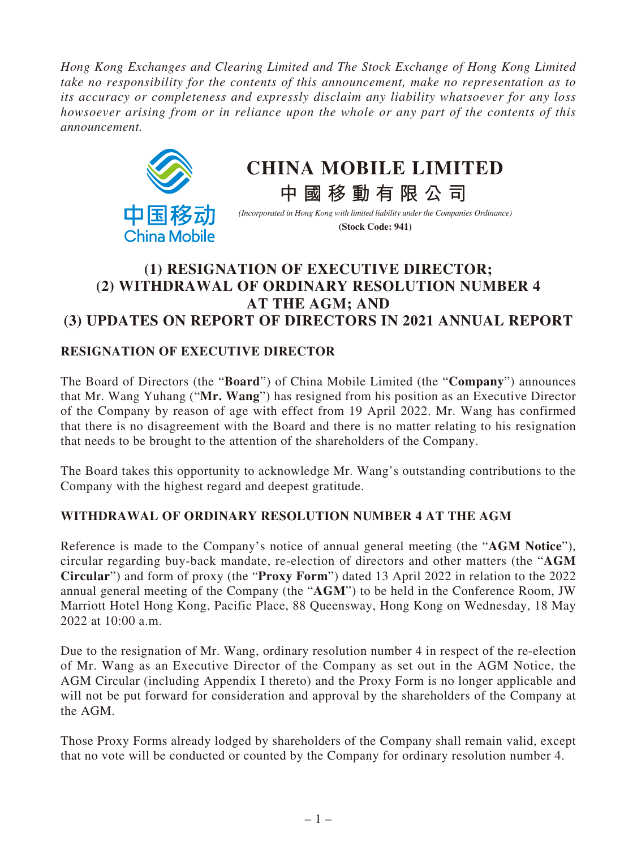*Hong Kong Exchanges and Clearing Limited and The Stock Exchange of Hong Kong Limited take no responsibility for the contents of this announcement, make no representation as to its accuracy or completeness and expressly disclaim any liability whatsoever for any loss howsoever arising from or in reliance upon the whole or any part of the contents of this announcement.*



# **CHINA MOBILE LIMITED**

*(Incorporated in Hong Kong with limited liability under the Companies Ordinance)* **(Stock Code: 941)**

**中國移動有限公司**

## **(1) RESIGNATION OF EXECUTIVE DIRECTOR; (2) WITHDRAWAL OF ORDINARY RESOLUTION NUMBER 4 AT THE AGM; AND (3) UPDATES ON REPORT OF DIRECTORS IN 2021 ANNUAL REPORT**

### **RESIGNATION OF EXECUTIVE DIRECTOR**

The Board of Directors (the "**Board**") of China Mobile Limited (the "**Company**") announces that Mr. Wang Yuhang ("**Mr. Wang**") has resigned from his position as an Executive Director of the Company by reason of age with effect from 19 April 2022. Mr. Wang has confirmed that there is no disagreement with the Board and there is no matter relating to his resignation that needs to be brought to the attention of the shareholders of the Company.

The Board takes this opportunity to acknowledge Mr. Wang's outstanding contributions to the Company with the highest regard and deepest gratitude.

#### **WITHDRAWAL OF ORDINARY RESOLUTION NUMBER 4 AT THE AGM**

Reference is made to the Company's notice of annual general meeting (the "**AGM Notice**"), circular regarding buy-back mandate, re-election of directors and other matters (the "**AGM Circular**") and form of proxy (the "**Proxy Form**") dated 13 April 2022 in relation to the 2022 annual general meeting of the Company (the "**AGM**") to be held in the Conference Room, JW Marriott Hotel Hong Kong, Pacific Place, 88 Queensway, Hong Kong on Wednesday, 18 May 2022 at 10:00 a.m.

Due to the resignation of Mr. Wang, ordinary resolution number 4 in respect of the re-election of Mr. Wang as an Executive Director of the Company as set out in the AGM Notice, the AGM Circular (including Appendix I thereto) and the Proxy Form is no longer applicable and will not be put forward for consideration and approval by the shareholders of the Company at the AGM.

Those Proxy Forms already lodged by shareholders of the Company shall remain valid, except that no vote will be conducted or counted by the Company for ordinary resolution number 4.